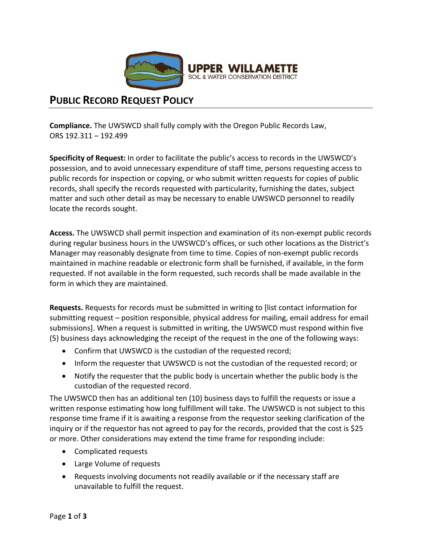

# **PUBLIC RECORD REQUEST POLICY**

**Compliance.** The UWSWCD shall fully comply with the Oregon Public Records Law, ORS 192.311 – 192.499

**Specificity of Request:** In order to facilitate the public's access to records in the UWSWCD's possession, and to avoid unnecessary expenditure of staff time, persons requesting access to public records for inspection or copying, or who submit written requests for copies of public records, shall specify the records requested with particularity, furnishing the dates, subject matter and such other detail as may be necessary to enable UWSWCD personnel to readily locate the records sought.

**Access.** The UWSWCD shall permit inspection and examination of its non-exempt public records during regular business hours in the UWSWCD's offices, or such other locations as the District's Manager may reasonably designate from time to time. Copies of non-exempt public records maintained in machine readable or electronic form shall be furnished, if available, in the form requested. If not available in the form requested, such records shall be made available in the form in which they are maintained.

**Requests.** Requests for records must be submitted in writing to [list contact information for submitting request – position responsible, physical address for mailing, email address for email submissions]. When a request is submitted in writing, the UWSWCD must respond within five (5) business days acknowledging the receipt of the request in the one of the following ways:

- Confirm that UWSWCD is the custodian of the requested record;
- Inform the requester that UWSWCD is not the custodian of the requested record; or
- Notify the requester that the public body is uncertain whether the public body is the custodian of the requested record.

The UWSWCD then has an additional ten (10) business days to fulfill the requests or issue a written response estimating how long fulfillment will take. The UWSWCD is not subject to this response time frame if it is awaiting a response from the requestor seeking clarification of the inquiry or if the requestor has not agreed to pay for the records, provided that the cost is \$25 or more. Other considerations may extend the time frame for responding include:

- Complicated requests
- Large Volume of requests
- Requests involving documents not readily available or if the necessary staff are unavailable to fulfill the request.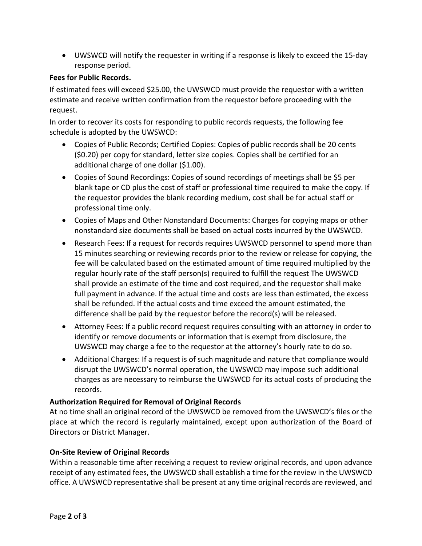• UWSWCD will notify the requester in writing if a response is likely to exceed the 15-day response period.

#### **Fees for Public Records.**

If estimated fees will exceed \$25.00, the UWSWCD must provide the requestor with a written estimate and receive written confirmation from the requestor before proceeding with the request.

In order to recover its costs for responding to public records requests, the following fee schedule is adopted by the UWSWCD:

- Copies of Public Records; Certified Copies: Copies of public records shall be 20 cents (\$0.20) per copy for standard, letter size copies. Copies shall be certified for an additional charge of one dollar (\$1.00).
- Copies of Sound Recordings: Copies of sound recordings of meetings shall be \$5 per blank tape or CD plus the cost of staff or professional time required to make the copy. If the requestor provides the blank recording medium, cost shall be for actual staff or professional time only.
- Copies of Maps and Other Nonstandard Documents: Charges for copying maps or other nonstandard size documents shall be based on actual costs incurred by the UWSWCD.
- Research Fees: If a request for records requires UWSWCD personnel to spend more than 15 minutes searching or reviewing records prior to the review or release for copying, the fee will be calculated based on the estimated amount of time required multiplied by the regular hourly rate of the staff person(s) required to fulfill the request The UWSWCD shall provide an estimate of the time and cost required, and the requestor shall make full payment in advance. If the actual time and costs are less than estimated, the excess shall be refunded. If the actual costs and time exceed the amount estimated, the difference shall be paid by the requestor before the record(s) will be released.
- Attorney Fees: If a public record request requires consulting with an attorney in order to identify or remove documents or information that is exempt from disclosure, the UWSWCD may charge a fee to the requestor at the attorney's hourly rate to do so.
- Additional Charges: If a request is of such magnitude and nature that compliance would disrupt the UWSWCD's normal operation, the UWSWCD may impose such additional charges as are necessary to reimburse the UWSWCD for its actual costs of producing the records.

### **Authorization Required for Removal of Original Records**

At no time shall an original record of the UWSWCD be removed from the UWSWCD's files or the place at which the record is regularly maintained, except upon authorization of the Board of Directors or District Manager.

### **On-Site Review of Original Records**

Within a reasonable time after receiving a request to review original records, and upon advance receipt of any estimated fees, the UWSWCD shall establish a time for the review in the UWSWCD office. A UWSWCD representative shall be present at any time original records are reviewed, and